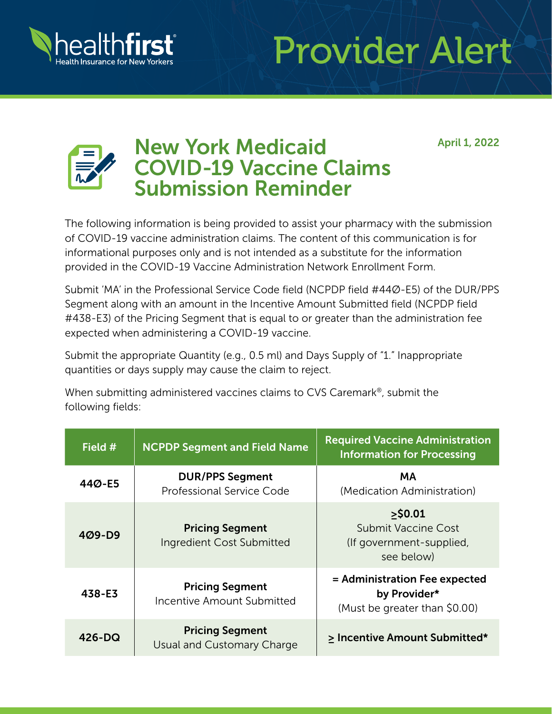

## Provider Alert

April 1, 2022



## New York Medicaid COVID-19 Vaccine Claims Submission Reminder

The following information is being provided to assist your pharmacy with the submission of COVID-19 vaccine administration claims. The content of this communication is for informational purposes only and is not intended as a substitute for the information provided in the COVID-19 Vaccine Administration Network Enrollment Form.

Submit 'MA' in the Professional Service Code field (NCPDP field #44Ø-E5) of the DUR/PPS Segment along with an amount in the Incentive Amount Submitted field (NCPDP field #438-E3) of the Pricing Segment that is equal to or greater than the administration fee expected when administering a COVID-19 vaccine.

Submit the appropriate Quantity (e.g., 0.5 ml) and Days Supply of "1." Inappropriate quantities or days supply may cause the claim to reject.

When submitting administered vaccines claims to CVS Caremark®, submit the following fields:

| Field #    | <b>NCPDP Segment and Field Name</b>                  | <b>Required Vaccine Administration</b><br><b>Information for Processing</b>        |
|------------|------------------------------------------------------|------------------------------------------------------------------------------------|
| 44Ø-E5     | <b>DUR/PPS Segment</b><br>Professional Service Code  | <b>MA</b><br>(Medication Administration)                                           |
| $409 - D9$ | <b>Pricing Segment</b><br>Ingredient Cost Submitted  | $>$ \$0.01<br><b>Submit Vaccine Cost</b><br>(If government-supplied,<br>see below) |
| 438-E3     | <b>Pricing Segment</b><br>Incentive Amount Submitted | = Administration Fee expected<br>by Provider*<br>(Must be greater than \$0.00)     |
| $426 - DQ$ | <b>Pricing Segment</b><br>Usual and Customary Charge | > Incentive Amount Submitted*                                                      |